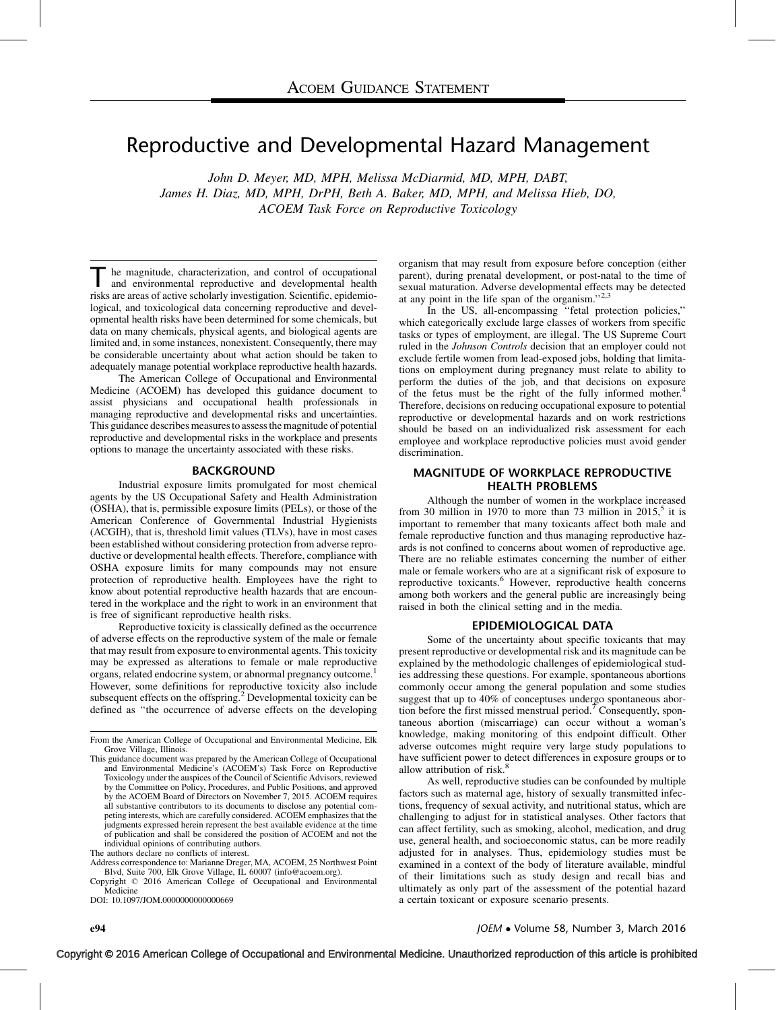# Reproductive and Developmental Hazard Management

John D. Meyer, MD, MPH, Melissa McDiarmid, MD, MPH, DABT, James H. Diaz, MD, MPH, DrPH, Beth A. Baker, MD, MPH, and Melissa Hieb, DO, ACOEM Task Force on Reproductive Toxicology

T he magnitude, characterization, and control of occupational and environmental reproductive and developmental health risks are areas of active scholarly investigation. Scientific, epidemiological, and toxicological data concerning reproductive and developmental health risks have been determined for some chemicals, but data on many chemicals, physical agents, and biological agents are limited and, in some instances, nonexistent. Consequently, there may be considerable uncertainty about what action should be taken to adequately manage potential workplace reproductive health hazards.

The American College of Occupational and Environmental Medicine (ACOEM) has developed this guidance document to assist physicians and occupational health professionals in managing reproductive and developmental risks and uncertainties. This guidance describes measures to assess the magnitude of potential reproductive and developmental risks in the workplace and presents options to manage the uncertainty associated with these risks.

#### BACKGROUND

Industrial exposure limits promulgated for most chemical agents by the US Occupational Safety and Health Administration (OSHA), that is, permissible exposure limits (PELs), or those of the American Conference of Governmental Industrial Hygienists (ACGIH), that is, threshold limit values (TLVs), have in most cases been established without considering protection from adverse reproductive or developmental health effects. Therefore, compliance with OSHA exposure limits for many compounds may not ensure protection of reproductive health. Employees have the right to know about potential reproductive health hazards that are encountered in the workplace and the right to work in an environment that is free of significant reproductive health risks.

Reproductive toxicity is classically defined as the occurrence of adverse effects on the reproductive system of the male or female that may result from exposure to environmental agents. This toxicity may be expressed as alterations to female or male reproductive organs, related endocrine system, or abnormal pregnancy outcome.<sup>[1](#page-7-0)</sup> However, some definitions for reproductive toxicity also include subsequent effects on the offspring.<sup>[2](#page-7-0)</sup> Developmental toxicity can be defined as ''the occurrence of adverse effects on the developing

The authors declare no conflicts of interest.

Address correspondence to: Marianne Dreger, MA, ACOEM, 25 Northwest Point Blvd, Suite 700, Elk Grove Village, IL 60007 ([info@acoem.org\)](mailto:info@acoem.org).

Copyright © 2016 American College of Occupational and Environmental Medicine

DOI: 10.1097/JOM.0000000000000669

organism that may result from exposure before conception (either parent), during prenatal development, or post-natal to the time of sexual maturation. Adverse developmental effects may be detected at any point in the life span of the organism." $^{2,3}$  $^{2,3}$  $^{2,3}$ 

In the US, all-encompassing ''fetal protection policies,'' which categorically exclude large classes of workers from specific tasks or types of employment, are illegal. The US Supreme Court ruled in the Johnson Controls decision that an employer could not exclude fertile women from lead-exposed jobs, holding that limitations on employment during pregnancy must relate to ability to perform the duties of the job, and that decisions on exposure of the fetus must be the right of the fully informed mother.<sup>4</sup> Therefore, decisions on reducing occupational exposure to potential reproductive or developmental hazards and on work restrictions should be based on an individualized risk assessment for each employee and workplace reproductive policies must avoid gender discrimination.

# MAGNITUDE OF WORKPLACE REPRODUCTIVE HEALTH PROBLEMS

Although the number of women in the workplace increased from 30 million in 1970 to more than 73 million in 201[5](#page-7-0),<sup>5</sup> it is important to remember that many toxicants affect both male and female reproductive function and thus managing reproductive hazards is not confined to concerns about women of reproductive age. There are no reliable estimates concerning the number of either male or female workers who are at a significant risk of exposure to reproductive toxicants.<sup>[6](#page-7-0)</sup> However, reproductive health concerns among both workers and the general public are increasingly being raised in both the clinical setting and in the media.

#### EPIDEMIOLOGICAL DATA

Some of the uncertainty about specific toxicants that may present reproductive or developmental risk and its magnitude can be explained by the methodologic challenges of epidemiological studies addressing these questions. For example, spontaneous abortions commonly occur among the general population and some studies suggest that up to 40% of conceptuses undergo spontaneous abor-tion before the first missed menstrual period.<sup>[7](#page-7-0)</sup> Consequently, spontaneous abortion (miscarriage) can occur without a woman's knowledge, making monitoring of this endpoint difficult. Other adverse outcomes might require very large study populations to have sufficient power to detect differences in exposure groups or to allow attribution of risk.<sup>[8](#page-7-0)</sup>

As well, reproductive studies can be confounded by multiple factors such as maternal age, history of sexually transmitted infections, frequency of sexual activity, and nutritional status, which are challenging to adjust for in statistical analyses. Other factors that can affect fertility, such as smoking, alcohol, medication, and drug use, general health, and socioeconomic status, can be more readily adjusted for in analyses. Thus, epidemiology studies must be examined in a context of the body of literature available, mindful of their limitations such as study design and recall bias and ultimately as only part of the assessment of the potential hazard a certain toxicant or exposure scenario presents.

From the American College of Occupational and Environmental Medicine, Elk Grove Village, Illinois.

This guidance document was prepared by the American College of Occupational and Environmental Medicine's (ACOEM's) Task Force on Reproductive Toxicology under the auspices of the Council of Scientific Advisors, reviewed by the Committee on Policy, Procedures, and Public Positions, and approved by the ACOEM Board of Directors on November 7, 2015. ACOEM requires all substantive contributors to its documents to disclose any potential competing interests, which are carefully considered. ACOEM emphasizes that the judgments expressed herein represent the best available evidence at the time of publication and shall be considered the position of ACOEM and not the individual opinions of contributing authors.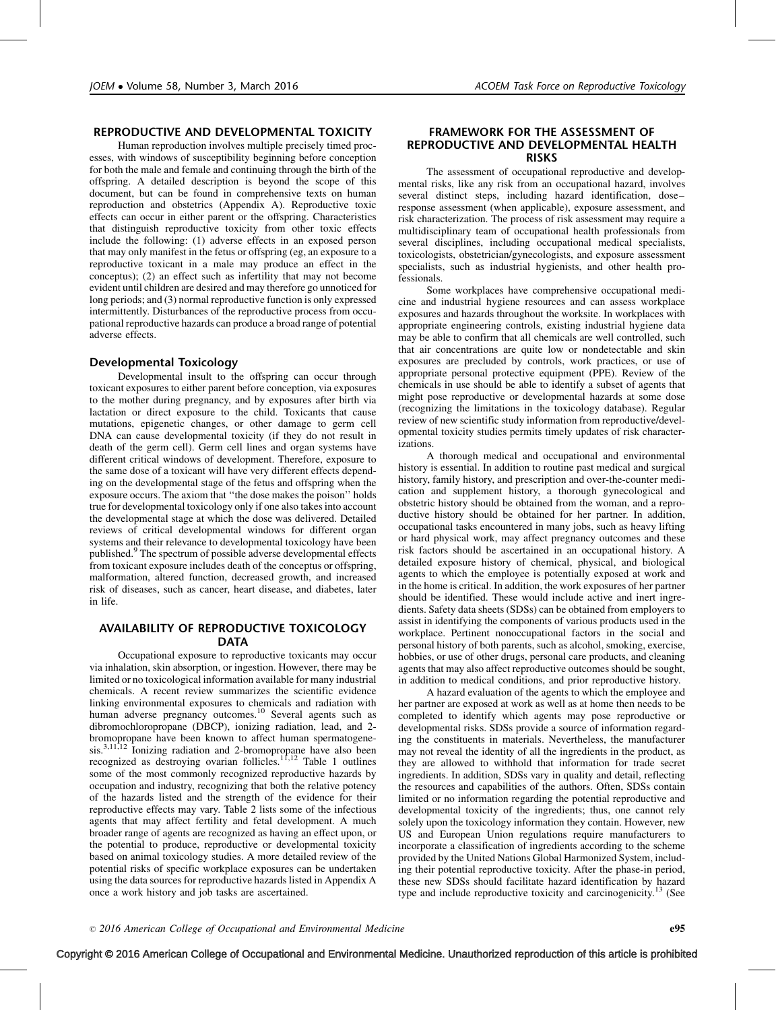# REPRODUCTIVE AND DEVELOPMENTAL TOXICITY

Human reproduction involves multiple precisely timed processes, with windows of susceptibility beginning before conception for both the male and female and continuing through the birth of the offspring. A detailed description is beyond the scope of this document, but can be found in comprehensive texts on human reproduction and obstetrics (Appendix A). Reproductive toxic effects can occur in either parent or the offspring. Characteristics that distinguish reproductive toxicity from other toxic effects include the following: (1) adverse effects in an exposed person that may only manifest in the fetus or offspring (eg, an exposure to a reproductive toxicant in a male may produce an effect in the conceptus); (2) an effect such as infertility that may not become evident until children are desired and may therefore go unnoticed for long periods; and (3) normal reproductive function is only expressed intermittently. Disturbances of the reproductive process from occupational reproductive hazards can produce a broad range of potential adverse effects.

## Developmental Toxicology

Developmental insult to the offspring can occur through toxicant exposures to either parent before conception, via exposures to the mother during pregnancy, and by exposures after birth via lactation or direct exposure to the child. Toxicants that cause mutations, epigenetic changes, or other damage to germ cell DNA can cause developmental toxicity (if they do not result in death of the germ cell). Germ cell lines and organ systems have different critical windows of development. Therefore, exposure to the same dose of a toxicant will have very different effects depending on the developmental stage of the fetus and offspring when the exposure occurs. The axiom that ''the dose makes the poison'' holds true for developmental toxicology only if one also takes into account the developmental stage at which the dose was delivered. Detailed reviews of critical developmental windows for different organ systems and their relevance to developmental toxicology have been published.<sup>[9](#page-8-0)</sup> The spectrum of possible adverse developmental effects from toxicant exposure includes death of the conceptus or offspring, malformation, altered function, decreased growth, and increased risk of diseases, such as cancer, heart disease, and diabetes, later in life.

# AVAILABILITY OF REPRODUCTIVE TOXICOLOGY **DATA**

Occupational exposure to reproductive toxicants may occur via inhalation, skin absorption, or ingestion. However, there may be limited or no toxicological information available for many industrial chemicals. A recent review summarizes the scientific evidence linking environmental exposures to chemicals and radiation with human adverse pregnancy outcomes.<sup>[10](#page-8-0)</sup> Several agents such as dibromochloropropane (DBCP), ionizing radiation, lead, and 2 bromopropane have been known to affect human spermatogene-sis.<sup>[3,11,12](#page-7-0)</sup> Ionizing radiation and 2-bromopropane have also been recognized as destroying ovarian follicles.[11,12](#page-8-0) Table 1 outlines some of the most commonly recognized reproductive hazards by occupation and industry, recognizing that both the relative potency of the hazards listed and the strength of the evidence for their reproductive effects may vary. Table 2 lists some of the infectious agents that may affect fertility and fetal development. A much broader range of agents are recognized as having an effect upon, or the potential to produce, reproductive or developmental toxicity based on animal toxicology studies. A more detailed review of the potential risks of specific workplace exposures can be undertaken using the data sources for reproductive hazards listed in Appendix A once a work history and job tasks are ascertained.

# FRAMEWORK FOR THE ASSESSMENT OF REPRODUCTIVE AND DEVELOPMENTAL HEALTH RISKS

The assessment of occupational reproductive and developmental risks, like any risk from an occupational hazard, involves several distinct steps, including hazard identification, dose– response assessment (when applicable), exposure assessment, and risk characterization. The process of risk assessment may require a multidisciplinary team of occupational health professionals from several disciplines, including occupational medical specialists, toxicologists, obstetrician/gynecologists, and exposure assessment specialists, such as industrial hygienists, and other health professionals.

Some workplaces have comprehensive occupational medicine and industrial hygiene resources and can assess workplace exposures and hazards throughout the worksite. In workplaces with appropriate engineering controls, existing industrial hygiene data may be able to confirm that all chemicals are well controlled, such that air concentrations are quite low or nondetectable and skin exposures are precluded by controls, work practices, or use of appropriate personal protective equipment (PPE). Review of the chemicals in use should be able to identify a subset of agents that might pose reproductive or developmental hazards at some dose (recognizing the limitations in the toxicology database). Regular review of new scientific study information from reproductive/developmental toxicity studies permits timely updates of risk characterizations.

A thorough medical and occupational and environmental history is essential. In addition to routine past medical and surgical history, family history, and prescription and over-the-counter medication and supplement history, a thorough gynecological and obstetric history should be obtained from the woman, and a reproductive history should be obtained for her partner. In addition, occupational tasks encountered in many jobs, such as heavy lifting or hard physical work, may affect pregnancy outcomes and these risk factors should be ascertained in an occupational history. A detailed exposure history of chemical, physical, and biological agents to which the employee is potentially exposed at work and in the home is critical. In addition, the work exposures of her partner should be identified. These would include active and inert ingredients. Safety data sheets (SDSs) can be obtained from employers to assist in identifying the components of various products used in the workplace. Pertinent nonoccupational factors in the social and personal history of both parents, such as alcohol, smoking, exercise, hobbies, or use of other drugs, personal care products, and cleaning agents that may also affect reproductive outcomes should be sought, in addition to medical conditions, and prior reproductive history.

A hazard evaluation of the agents to which the employee and her partner are exposed at work as well as at home then needs to be completed to identify which agents may pose reproductive or developmental risks. SDSs provide a source of information regarding the constituents in materials. Nevertheless, the manufacturer may not reveal the identity of all the ingredients in the product, as they are allowed to withhold that information for trade secret ingredients. In addition, SDSs vary in quality and detail, reflecting the resources and capabilities of the authors. Often, SDSs contain limited or no information regarding the potential reproductive and developmental toxicity of the ingredients; thus, one cannot rely solely upon the toxicology information they contain. However, new US and European Union regulations require manufacturers to incorporate a classification of ingredients according to the scheme provided by the United Nations Global Harmonized System, including their potential reproductive toxicity. After the phase-in period, these new SDSs should facilitate hazard identification by hazard type and include reproductive toxicity and carcinogenicity.<sup>[13](#page-8-0)</sup> (See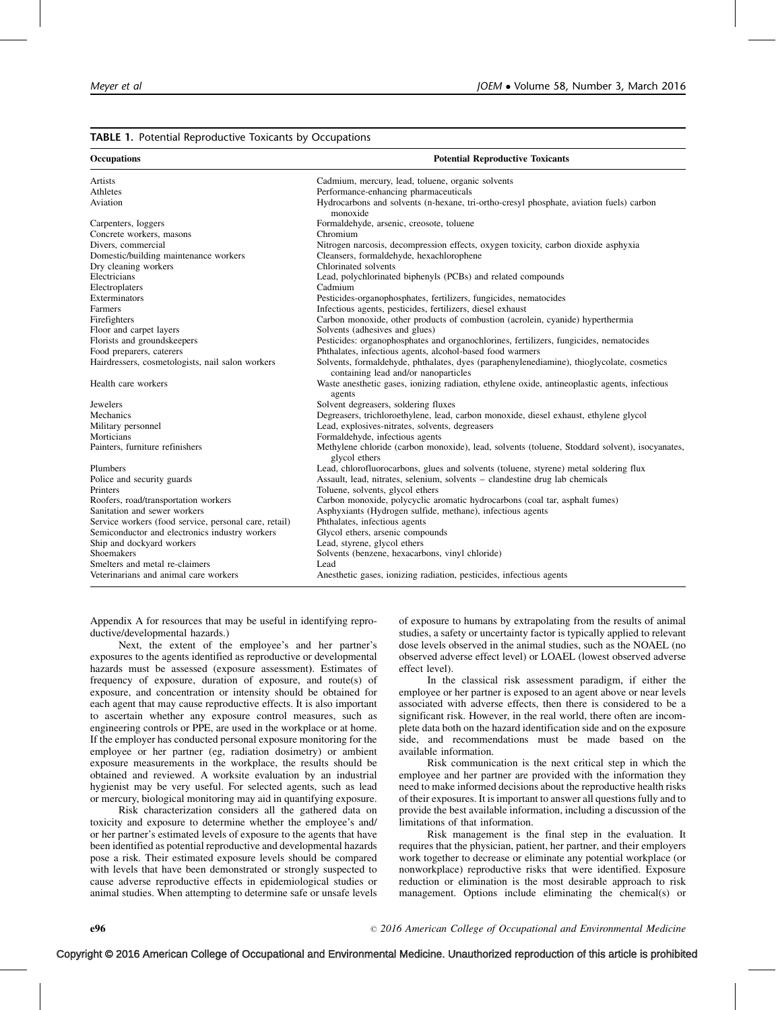## TABLE 1. Potential Reproductive Toxicants by Occupations

| <b>Occupations</b>                                    | <b>Potential Reproductive Toxicants</b>                                                                                           |  |  |  |
|-------------------------------------------------------|-----------------------------------------------------------------------------------------------------------------------------------|--|--|--|
| Artists                                               | Cadmium, mercury, lead, toluene, organic solvents                                                                                 |  |  |  |
| Athletes                                              | Performance-enhancing pharmaceuticals                                                                                             |  |  |  |
| Aviation                                              | Hydrocarbons and solvents (n-hexane, tri-ortho-cresyl phosphate, aviation fuels) carbon<br>monoxide                               |  |  |  |
| Carpenters, loggers                                   | Formaldehyde, arsenic, creosote, toluene                                                                                          |  |  |  |
| Concrete workers, masons                              | Chromium                                                                                                                          |  |  |  |
| Divers, commercial                                    | Nitrogen narcosis, decompression effects, oxygen toxicity, carbon dioxide asphyxia                                                |  |  |  |
| Domestic/building maintenance workers                 | Cleansers, formaldehyde, hexachlorophene                                                                                          |  |  |  |
| Dry cleaning workers                                  | Chlorinated solvents                                                                                                              |  |  |  |
| Electricians                                          | Lead, polychlorinated biphenyls (PCBs) and related compounds                                                                      |  |  |  |
| Electroplaters                                        | Cadmium                                                                                                                           |  |  |  |
| Exterminators                                         | Pesticides-organophosphates, fertilizers, fungicides, nematocides                                                                 |  |  |  |
| Farmers                                               | Infectious agents, pesticides, fertilizers, diesel exhaust                                                                        |  |  |  |
| Firefighters                                          | Carbon monoxide, other products of combustion (acrolein, cyanide) hyperthermia                                                    |  |  |  |
| Floor and carpet layers                               | Solvents (adhesives and glues)                                                                                                    |  |  |  |
| Florists and groundskeepers                           | Pesticides: organophosphates and organochlorines, fertilizers, fungicides, nematocides                                            |  |  |  |
| Food preparers, caterers                              | Phthalates, infectious agents, alcohol-based food warmers                                                                         |  |  |  |
| Hairdressers, cosmetologists, nail salon workers      | Solvents, formaldehyde, phthalates, dyes (paraphenylenediamine), thioglycolate, cosmetics<br>containing lead and/or nanoparticles |  |  |  |
| Health care workers                                   | Waste anesthetic gases, ionizing radiation, ethylene oxide, antineoplastic agents, infectious                                     |  |  |  |
|                                                       | agents                                                                                                                            |  |  |  |
| Jewelers                                              | Solvent degreasers, soldering fluxes                                                                                              |  |  |  |
| Mechanics                                             | Degreasers, trichloroethylene, lead, carbon monoxide, diesel exhaust, ethylene glycol                                             |  |  |  |
| Military personnel                                    | Lead, explosives-nitrates, solvents, degreasers                                                                                   |  |  |  |
| Morticians                                            | Formaldehyde, infectious agents                                                                                                   |  |  |  |
| Painters, furniture refinishers                       | Methylene chloride (carbon monoxide), lead, solvents (toluene, Stoddard solvent), isocyanates,<br>glycol ethers                   |  |  |  |
| Plumbers                                              | Lead, chlorofluorocarbons, glues and solvents (toluene, styrene) metal soldering flux                                             |  |  |  |
| Police and security guards                            | Assault, lead, nitrates, selenium, solvents - clandestine drug lab chemicals                                                      |  |  |  |
| Printers                                              | Toluene, solvents, glycol ethers                                                                                                  |  |  |  |
| Roofers, road/transportation workers                  | Carbon monoxide, polycyclic aromatic hydrocarbons (coal tar, asphalt fumes)                                                       |  |  |  |
| Sanitation and sewer workers                          | Asphyxiants (Hydrogen sulfide, methane), infectious agents                                                                        |  |  |  |
| Service workers (food service, personal care, retail) | Phthalates, infectious agents                                                                                                     |  |  |  |
| Semiconductor and electronics industry workers        | Glycol ethers, arsenic compounds                                                                                                  |  |  |  |
| Ship and dockyard workers                             | Lead, styrene, glycol ethers                                                                                                      |  |  |  |
| Shoemakers                                            | Solvents (benzene, hexacarbons, vinyl chloride)                                                                                   |  |  |  |
| Smelters and metal re-claimers                        | Lead                                                                                                                              |  |  |  |
| Veterinarians and animal care workers                 | Anesthetic gases, ionizing radiation, pesticides, infectious agents                                                               |  |  |  |

Appendix A for resources that may be useful in identifying reproductive/developmental hazards.)

Next, the extent of the employee's and her partner's exposures to the agents identified as reproductive or developmental hazards must be assessed (exposure assessment). Estimates of frequency of exposure, duration of exposure, and route(s) of exposure, and concentration or intensity should be obtained for each agent that may cause reproductive effects. It is also important to ascertain whether any exposure control measures, such as engineering controls or PPE, are used in the workplace or at home. If the employer has conducted personal exposure monitoring for the employee or her partner (eg, radiation dosimetry) or ambient exposure measurements in the workplace, the results should be obtained and reviewed. A worksite evaluation by an industrial hygienist may be very useful. For selected agents, such as lead or mercury, biological monitoring may aid in quantifying exposure.

Risk characterization considers all the gathered data on toxicity and exposure to determine whether the employee's and/ or her partner's estimated levels of exposure to the agents that have been identified as potential reproductive and developmental hazards pose a risk. Their estimated exposure levels should be compared with levels that have been demonstrated or strongly suspected to cause adverse reproductive effects in epidemiological studies or animal studies. When attempting to determine safe or unsafe levels

of exposure to humans by extrapolating from the results of animal studies, a safety or uncertainty factor is typically applied to relevant dose levels observed in the animal studies, such as the NOAEL (no observed adverse effect level) or LOAEL (lowest observed adverse effect level).

In the classical risk assessment paradigm, if either the employee or her partner is exposed to an agent above or near levels associated with adverse effects, then there is considered to be a significant risk. However, in the real world, there often are incomplete data both on the hazard identification side and on the exposure side, and recommendations must be made based on the available information.

Risk communication is the next critical step in which the employee and her partner are provided with the information they need to make informed decisions about the reproductive health risks of their exposures. It is important to answer all questions fully and to provide the best available information, including a discussion of the limitations of that information.

Risk management is the final step in the evaluation. It requires that the physician, patient, her partner, and their employers work together to decrease or eliminate any potential workplace (or nonworkplace) reproductive risks that were identified. Exposure reduction or elimination is the most desirable approach to risk management. Options include eliminating the chemical(s) or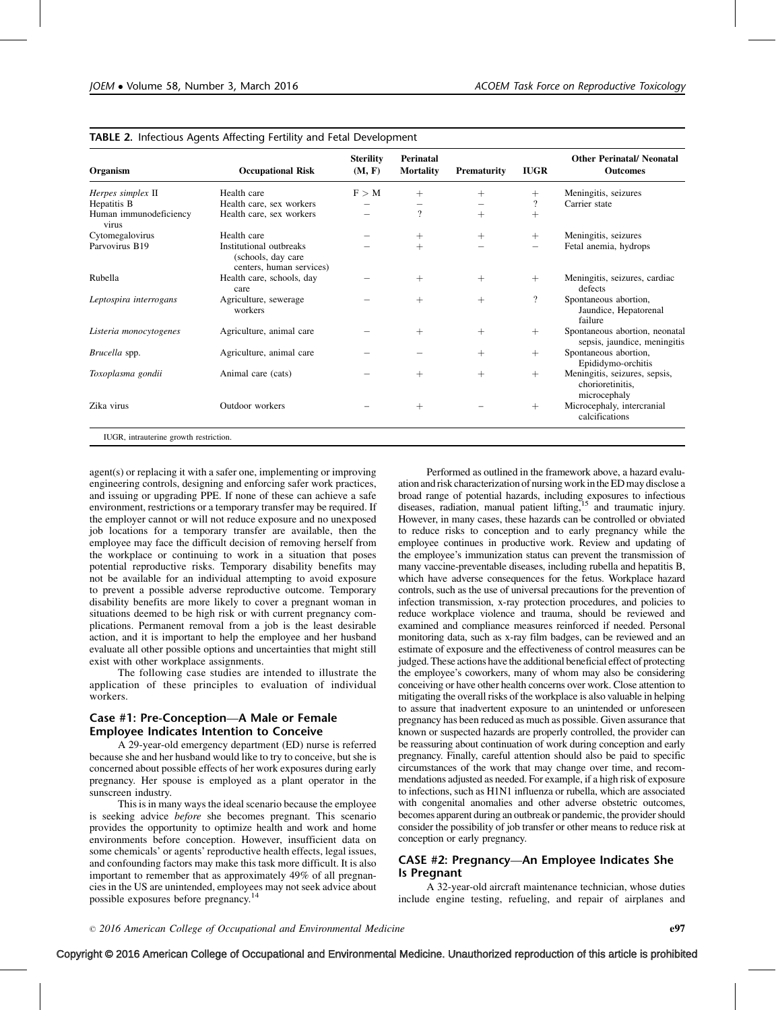| Organism                        | <b>Occupational Risk</b>                                                  | <b>Sterility</b><br>(M, F) | Perinatal<br><b>Mortality</b> | <b>Prematurity</b> | <b>IUGR</b>              | <b>Other Perinatal/Neonatal</b><br><b>Outcomes</b>                |
|---------------------------------|---------------------------------------------------------------------------|----------------------------|-------------------------------|--------------------|--------------------------|-------------------------------------------------------------------|
| Herpes simplex II               | Health care                                                               | F > M                      | $^{+}$                        | $^{+}$             | $^{+}$                   | Meningitis, seizures                                              |
| Hepatitis B                     | Health care, sex workers                                                  |                            |                               |                    | $\overline{\mathcal{L}}$ | Carrier state                                                     |
| Human immunodeficiency<br>virus | Health care, sex workers                                                  |                            | $\overline{\cdot}$            | $^{+}$             | $^{+}$                   |                                                                   |
| Cytomegalovirus                 | Health care                                                               |                            | $^+$                          | $+$                | $^{+}$                   | Meningitis, seizures                                              |
| Parvovirus B19                  | Institutional outbreaks<br>(schools, day care<br>centers, human services) |                            | $^{+}$                        |                    | $\overline{\phantom{0}}$ | Fetal anemia, hydrops                                             |
| Rubella                         | Health care, schools, day<br>care                                         |                            | $+$                           | $+$                | $^{+}$                   | Meningitis, seizures, cardiac<br>defects                          |
| Leptospira interrogans          | Agriculture, sewerage<br>workers                                          |                            | $^{+}$                        | $+$                | $\overline{\mathcal{L}}$ | Spontaneous abortion,<br>Jaundice, Hepatorenal<br>failure         |
| Listeria monocytogenes          | Agriculture, animal care                                                  |                            | $^{+}$                        | $^{+}$             | $^{+}$                   | Spontaneous abortion, neonatal<br>sepsis, jaundice, meningitis    |
| Brucella spp.                   | Agriculture, animal care                                                  |                            |                               | $+$                | $^{+}$                   | Spontaneous abortion,<br>Epididymo-orchitis                       |
| Toxoplasma gondii               | Animal care (cats)                                                        |                            | $^{+}$                        | $^{+}$             | $^{+}$                   | Meningitis, seizures, sepsis,<br>chorioretinitis.<br>microcephaly |
| Zika virus                      | Outdoor workers                                                           |                            | $^{+}$                        |                    | $+$                      | Microcephaly, intercranial<br>calcifications                      |

## TABLE 2. Infectious Agents Affecting Fertility and Fetal Development

agent(s) or replacing it with a safer one, implementing or improving engineering controls, designing and enforcing safer work practices, and issuing or upgrading PPE. If none of these can achieve a safe environment, restrictions or a temporary transfer may be required. If the employer cannot or will not reduce exposure and no unexposed job locations for a temporary transfer are available, then the employee may face the difficult decision of removing herself from the workplace or continuing to work in a situation that poses potential reproductive risks. Temporary disability benefits may not be available for an individual attempting to avoid exposure to prevent a possible adverse reproductive outcome. Temporary disability benefits are more likely to cover a pregnant woman in situations deemed to be high risk or with current pregnancy complications. Permanent removal from a job is the least desirable action, and it is important to help the employee and her husband evaluate all other possible options and uncertainties that might still exist with other workplace assignments.

The following case studies are intended to illustrate the application of these principles to evaluation of individual workers.

# Case #1: Pre-Conception—A Male or Female Employee Indicates Intention to Conceive

A 29-year-old emergency department (ED) nurse is referred because she and her husband would like to try to conceive, but she is concerned about possible effects of her work exposures during early pregnancy. Her spouse is employed as a plant operator in the sunscreen industry.

This is in many ways the ideal scenario because the employee is seeking advice before she becomes pregnant. This scenario provides the opportunity to optimize health and work and home environments before conception. However, insufficient data on some chemicals' or agents' reproductive health effects, legal issues, and confounding factors may make this task more difficult. It is also important to remember that as approximately 49% of all pregnancies in the US are unintended, employees may not seek advice about possible exposures before pregnancy.[14](#page-8-0)

Performed as outlined in the framework above, a hazard evaluation and risk characterization of nursing workinthe ED may disclose a broad range of potential hazards, including exposures to infectious diseases, radiation, manual patient lifting[,15](#page-8-0) and traumatic injury. However, in many cases, these hazards can be controlled or obviated to reduce risks to conception and to early pregnancy while the employee continues in productive work. Review and updating of the employee's immunization status can prevent the transmission of many vaccine-preventable diseases, including rubella and hepatitis B, which have adverse consequences for the fetus. Workplace hazard controls, such as the use of universal precautions for the prevention of infection transmission, x-ray protection procedures, and policies to reduce workplace violence and trauma, should be reviewed and examined and compliance measures reinforced if needed. Personal monitoring data, such as x-ray film badges, can be reviewed and an estimate of exposure and the effectiveness of control measures can be judged. These actions have the additional beneficial effect of protecting the employee's coworkers, many of whom may also be considering conceiving or have other health concerns over work. Close attention to mitigating the overall risks of the workplace is also valuable in helping to assure that inadvertent exposure to an unintended or unforeseen pregnancy has been reduced as much as possible. Given assurance that known or suspected hazards are properly controlled, the provider can be reassuring about continuation of work during conception and early pregnancy. Finally, careful attention should also be paid to specific circumstances of the work that may change over time, and recommendations adjusted as needed. For example, if a high risk of exposure to infections, such as H1N1 influenza or rubella, which are associated with congenital anomalies and other adverse obstetric outcomes, becomes apparent during an outbreak or pandemic, the provider should consider the possibility of job transfer or other means to reduce risk at conception or early pregnancy.

# CASE #2: Pregnancy—An Employee Indicates She Is Pregnant

A 32-year-old aircraft maintenance technician, whose duties include engine testing, refueling, and repair of airplanes and

Copyright © 2016 American College of Occupational and Environmental Medicine. Unauthorized reproduction of this article is prohibited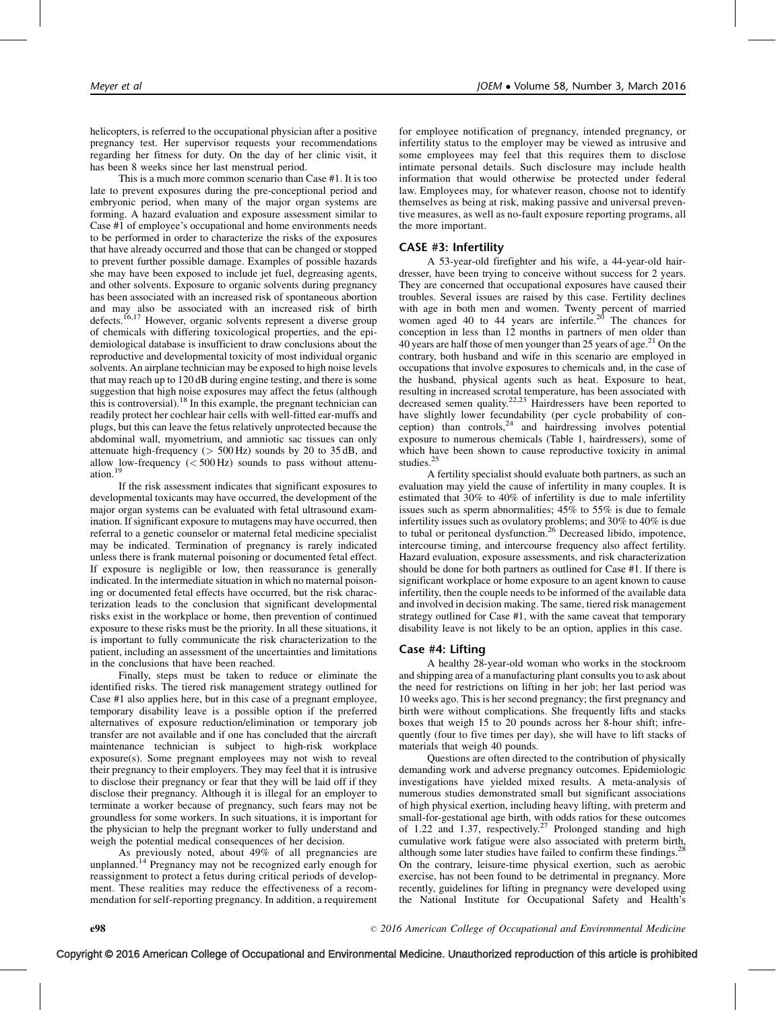helicopters, is referred to the occupational physician after a positive pregnancy test. Her supervisor requests your recommendations regarding her fitness for duty. On the day of her clinic visit, it has been 8 weeks since her last menstrual period.

This is a much more common scenario than Case #1. It is too late to prevent exposures during the pre-conceptional period and embryonic period, when many of the major organ systems are forming. A hazard evaluation and exposure assessment similar to Case #1 of employee's occupational and home environments needs to be performed in order to characterize the risks of the exposures that have already occurred and those that can be changed or stopped to prevent further possible damage. Examples of possible hazards she may have been exposed to include jet fuel, degreasing agents, and other solvents. Exposure to organic solvents during pregnancy has been associated with an increased risk of spontaneous abortion and may also be associated with an increased risk of birth defects.<sup>[16,17](#page-8-0)</sup> However, organic solvents represent a diverse group of chemicals with differing toxicological properties, and the epidemiological database is insufficient to draw conclusions about the reproductive and developmental toxicity of most individual organic solvents. An airplane technician may be exposed to high noise levels that may reach up to 120 dB during engine testing, and there is some suggestion that high noise exposures may affect the fetus (although this is controversial).[18](#page-8-0) In this example, the pregnant technician can readily protect her cochlear hair cells with well-fitted ear-muffs and plugs, but this can leave the fetus relatively unprotected because the abdominal wall, myometrium, and amniotic sac tissues can only attenuate high-frequency ( $> 500$  Hz) sounds by 20 to 35 dB, and allow low-frequency (< 500 Hz) sounds to pass without attenuation. $1\overline{9}$ 

If the risk assessment indicates that significant exposures to developmental toxicants may have occurred, the development of the major organ systems can be evaluated with fetal ultrasound examination. If significant exposure to mutagens may have occurred, then referral to a genetic counselor or maternal fetal medicine specialist may be indicated. Termination of pregnancy is rarely indicated unless there is frank maternal poisoning or documented fetal effect. If exposure is negligible or low, then reassurance is generally indicated. In the intermediate situation in which no maternal poisoning or documented fetal effects have occurred, but the risk characterization leads to the conclusion that significant developmental risks exist in the workplace or home, then prevention of continued exposure to these risks must be the priority. In all these situations, it is important to fully communicate the risk characterization to the patient, including an assessment of the uncertainties and limitations in the conclusions that have been reached.

Finally, steps must be taken to reduce or eliminate the identified risks. The tiered risk management strategy outlined for Case #1 also applies here, but in this case of a pregnant employee, temporary disability leave is a possible option if the preferred alternatives of exposure reduction/elimination or temporary job transfer are not available and if one has concluded that the aircraft maintenance technician is subject to high-risk workplace exposure(s). Some pregnant employees may not wish to reveal their pregnancy to their employers. They may feel that it is intrusive to disclose their pregnancy or fear that they will be laid off if they disclose their pregnancy. Although it is illegal for an employer to terminate a worker because of pregnancy, such fears may not be groundless for some workers. In such situations, it is important for the physician to help the pregnant worker to fully understand and weigh the potential medical consequences of her decision.

As previously noted, about 49% of all pregnancies are unplanned.<sup>[14](#page-8-0)</sup> Pregnancy may not be recognized early enough for reassignment to protect a fetus during critical periods of development. These realities may reduce the effectiveness of a recommendation for self-reporting pregnancy. In addition, a requirement for employee notification of pregnancy, intended pregnancy, or infertility status to the employer may be viewed as intrusive and some employees may feel that this requires them to disclose intimate personal details. Such disclosure may include health information that would otherwise be protected under federal law. Employees may, for whatever reason, choose not to identify themselves as being at risk, making passive and universal preventive measures, as well as no-fault exposure reporting programs, all the more important.

# CASE #3: Infertility

A 53-year-old firefighter and his wife, a 44-year-old hairdresser, have been trying to conceive without success for 2 years. They are concerned that occupational exposures have caused their troubles. Several issues are raised by this case. Fertility declines with age in both men and women. Twenty percent of married women aged 40 to 44 years are infertile.<sup>[20](#page-8-0)</sup> The chances for conception in less than 12 months in partners of men older than 40 years are half those of men younger than 25 years of age. $^{21}$  $^{21}$  $^{21}$  On the contrary, both husband and wife in this scenario are employed in occupations that involve exposures to chemicals and, in the case of the husband, physical agents such as heat. Exposure to heat, resulting in increased scrotal temperature, has been associated with decreased semen quality.<sup>22,23</sup> Hairdressers have been reported to have slightly lower fecundability (per cycle probability of conception) than controls, $24$  and hairdressing involves potential exposure to numerous chemicals (Table 1, hairdressers), some of which have been shown to cause reproductive toxicity in animal studies.<sup>2</sup>

A fertility specialist should evaluate both partners, as such an evaluation may yield the cause of infertility in many couples. It is estimated that 30% to 40% of infertility is due to male infertility issues such as sperm abnormalities; 45% to 55% is due to female infertility issues such as ovulatory problems; and 30% to 40% is due to tubal or peritoneal dysfunction.<sup>26</sup> Decreased libido, impotence, intercourse timing, and intercourse frequency also affect fertility. Hazard evaluation, exposure assessments, and risk characterization should be done for both partners as outlined for Case #1. If there is significant workplace or home exposure to an agent known to cause infertility, then the couple needs to be informed of the available data and involved in decision making. The same, tiered risk management strategy outlined for Case #1, with the same caveat that temporary disability leave is not likely to be an option, applies in this case.

# Case #4: Lifting

A healthy 28-year-old woman who works in the stockroom and shipping area of a manufacturing plant consults you to ask about the need for restrictions on lifting in her job; her last period was 10 weeks ago. This is her second pregnancy; the first pregnancy and birth were without complications. She frequently lifts and stacks boxes that weigh 15 to 20 pounds across her 8-hour shift; infrequently (four to five times per day), she will have to lift stacks of materials that weigh 40 pounds.

Questions are often directed to the contribution of physically demanding work and adverse pregnancy outcomes. Epidemiologic investigations have yielded mixed results. A meta-analysis of numerous studies demonstrated small but significant associations of high physical exertion, including heavy lifting, with preterm and small-for-gestational age birth, with odds ratios for these outcomes of 1.22 and 1.37, respectively.<sup>[27](#page-8-0)</sup> Prolonged standing and high cumulative work fatigue were also associated with preterm birth, although some later studies have failed to confirm these findings. $<sup>2</sup>$ </sup> On the contrary, leisure-time physical exertion, such as aerobic exercise, has not been found to be detrimental in pregnancy. More recently, guidelines for lifting in pregnancy were developed using the National Institute for Occupational Safety and Health's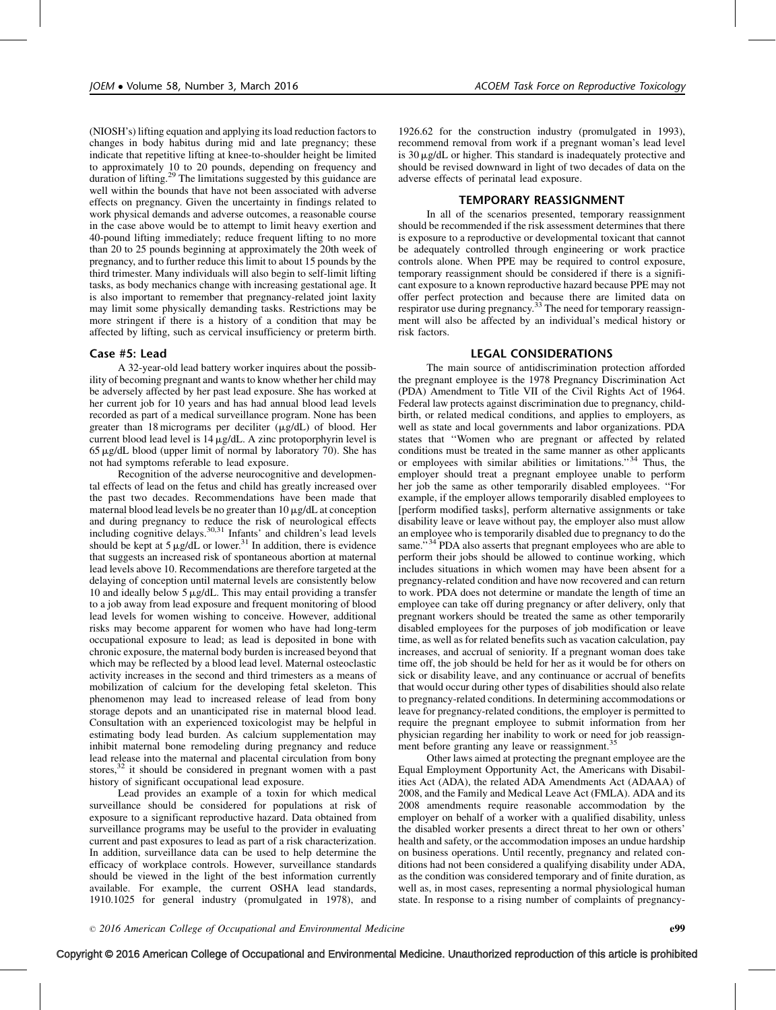(NIOSH's) lifting equation and applying its load reduction factors to changes in body habitus during mid and late pregnancy; these indicate that repetitive lifting at knee-to-shoulder height be limited to approximately 10 to 20 pounds, depending on frequency and duration of lifting.<sup>29</sup> The limitations suggested by this guidance are well within the bounds that have not been associated with adverse effects on pregnancy. Given the uncertainty in findings related to work physical demands and adverse outcomes, a reasonable course in the case above would be to attempt to limit heavy exertion and 40-pound lifting immediately; reduce frequent lifting to no more than 20 to 25 pounds beginning at approximately the 20th week of pregnancy, and to further reduce this limit to about 15 pounds by the third trimester. Many individuals will also begin to self-limit lifting tasks, as body mechanics change with increasing gestational age. It is also important to remember that pregnancy-related joint laxity may limit some physically demanding tasks. Restrictions may be more stringent if there is a history of a condition that may be affected by lifting, such as cervical insufficiency or preterm birth.

## Case #5: Lead

A 32-year-old lead battery worker inquires about the possibility of becoming pregnant and wants to know whether her child may be adversely affected by her past lead exposure. She has worked at her current job for 10 years and has had annual blood lead levels recorded as part of a medical surveillance program. None has been greater than 18 micrograms per deciliter  $(\mu g/dL)$  of blood. Her current blood lead level is  $14 \mu g/dL$ . A zinc protoporphyrin level is  $65 \mu g/dL$  blood (upper limit of normal by laboratory 70). She has not had symptoms referable to lead exposure.

Recognition of the adverse neurocognitive and developmental effects of lead on the fetus and child has greatly increased over the past two decades. Recommendations have been made that maternal blood lead levels be no greater than  $10 \mu g/dL$  at conception and during pregnancy to reduce the risk of neurological effects including cognitive delays.<sup>[30,31](#page-8-0)</sup> Infants' and children's lead levels should be kept at  $5 \mu g/dL$  or lower.<sup>[31](#page-8-0)</sup> In addition, there is evidence that suggests an increased risk of spontaneous abortion at maternal lead levels above 10. Recommendations are therefore targeted at the delaying of conception until maternal levels are consistently below 10 and ideally below 5  $\mu$ g/dL. This may entail providing a transfer to a job away from lead exposure and frequent monitoring of blood lead levels for women wishing to conceive. However, additional risks may become apparent for women who have had long-term occupational exposure to lead; as lead is deposited in bone with chronic exposure, the maternal body burden is increased beyond that which may be reflected by a blood lead level. Maternal osteoclastic activity increases in the second and third trimesters as a means of mobilization of calcium for the developing fetal skeleton. This phenomenon may lead to increased release of lead from bony storage depots and an unanticipated rise in maternal blood lead. Consultation with an experienced toxicologist may be helpful in estimating body lead burden. As calcium supplementation may inhibit maternal bone remodeling during pregnancy and reduce lead release into the maternal and placental circulation from bony stores[,32](#page-8-0) it should be considered in pregnant women with a past history of significant occupational lead exposure.

Lead provides an example of a toxin for which medical surveillance should be considered for populations at risk of exposure to a significant reproductive hazard. Data obtained from surveillance programs may be useful to the provider in evaluating current and past exposures to lead as part of a risk characterization. In addition, surveillance data can be used to help determine the efficacy of workplace controls. However, surveillance standards should be viewed in the light of the best information currently available. For example, the current OSHA lead standards, 1910.1025 for general industry (promulgated in 1978), and

1926.62 for the construction industry (promulgated in 1993), recommend removal from work if a pregnant woman's lead level is  $30 \mu g/dL$  or higher. This standard is inadequately protective and should be revised downward in light of two decades of data on the adverse effects of perinatal lead exposure.

#### TEMPORARY REASSIGNMENT

In all of the scenarios presented, temporary reassignment should be recommended if the risk assessment determines that there is exposure to a reproductive or developmental toxicant that cannot be adequately controlled through engineering or work practice controls alone. When PPE may be required to control exposure, temporary reassignment should be considered if there is a significant exposure to a known reproductive hazard because PPE may not offer perfect protection and because there are limited data on respirator use during pregnancy.<sup>[33](#page-8-0)</sup> The need for temporary reassignment will also be affected by an individual's medical history or risk factors.

## LEGAL CONSIDERATIONS

The main source of antidiscrimination protection afforded the pregnant employee is the 1978 Pregnancy Discrimination Act (PDA) Amendment to Title VII of the Civil Rights Act of 1964. Federal law protects against discrimination due to pregnancy, childbirth, or related medical conditions, and applies to employers, as well as state and local governments and labor organizations. PDA states that ''Women who are pregnant or affected by related conditions must be treated in the same manner as other applicants or employees with similar abilities or limitations.''[34](#page-8-0) Thus, the employer should treat a pregnant employee unable to perform her job the same as other temporarily disabled employees. ''For example, if the employer allows temporarily disabled employees to [perform modified tasks], perform alternative assignments or take disability leave or leave without pay, the employer also must allow an employee who is temporarily disabled due to pregnancy to do the same.<sup>5[34](#page-8-0)</sup> PDA also asserts that pregnant employees who are able to perform their jobs should be allowed to continue working, which includes situations in which women may have been absent for a pregnancy-related condition and have now recovered and can return to work. PDA does not determine or mandate the length of time an employee can take off during pregnancy or after delivery, only that pregnant workers should be treated the same as other temporarily disabled employees for the purposes of job modification or leave time, as well as for related benefits such as vacation calculation, pay increases, and accrual of seniority. If a pregnant woman does take time off, the job should be held for her as it would be for others on sick or disability leave, and any continuance or accrual of benefits that would occur during other types of disabilities should also relate to pregnancy-related conditions. In determining accommodations or leave for pregnancy-related conditions, the employer is permitted to require the pregnant employee to submit information from her physician regarding her inability to work or need for job reassign-ment before granting any leave or reassignment.<sup>[35](#page-8-0)</sup>

Other laws aimed at protecting the pregnant employee are the Equal Employment Opportunity Act, the Americans with Disabilities Act (ADA), the related ADA Amendments Act (ADAAA) of 2008, and the Family and Medical Leave Act (FMLA). ADA and its 2008 amendments require reasonable accommodation by the employer on behalf of a worker with a qualified disability, unless the disabled worker presents a direct threat to her own or others' health and safety, or the accommodation imposes an undue hardship on business operations. Until recently, pregnancy and related conditions had not been considered a qualifying disability under ADA, as the condition was considered temporary and of finite duration, as well as, in most cases, representing a normal physiological human state. In response to a rising number of complaints of pregnancy-

# Copyright © 2016 American College of Occupational and Environmental Medicine. Unauthorized reproduction of this article is prohibited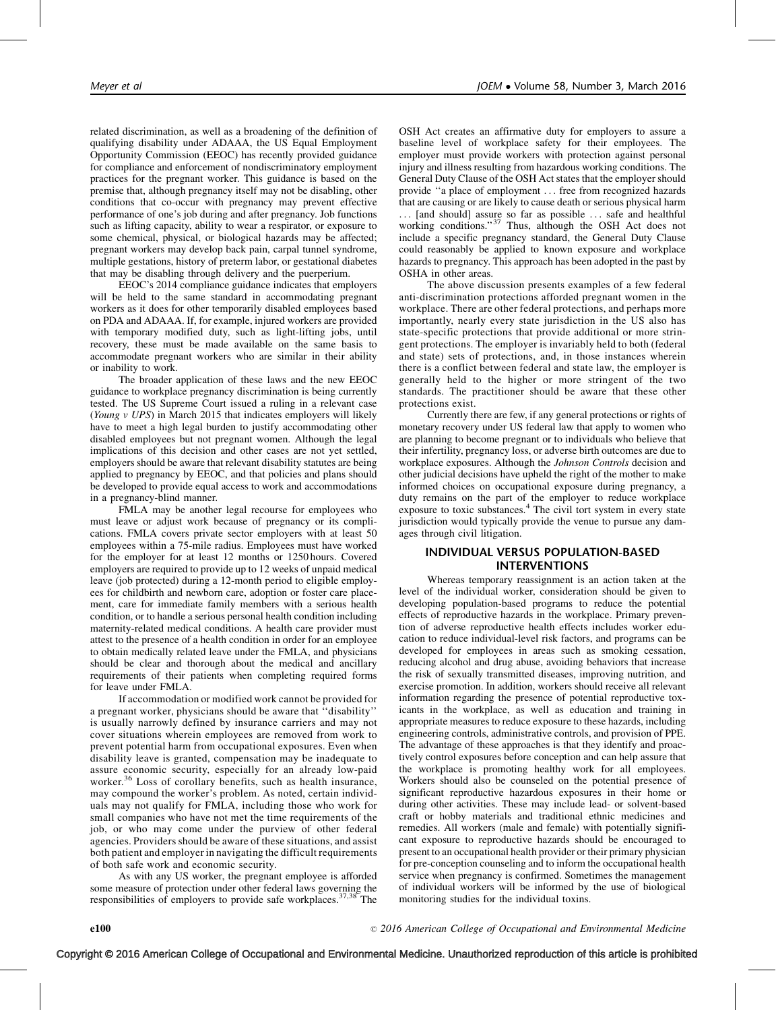related discrimination, as well as a broadening of the definition of qualifying disability under ADAAA, the US Equal Employment Opportunity Commission (EEOC) has recently provided guidance for compliance and enforcement of nondiscriminatory employment practices for the pregnant worker. This guidance is based on the premise that, although pregnancy itself may not be disabling, other conditions that co-occur with pregnancy may prevent effective performance of one's job during and after pregnancy. Job functions such as lifting capacity, ability to wear a respirator, or exposure to some chemical, physical, or biological hazards may be affected; pregnant workers may develop back pain, carpal tunnel syndrome, multiple gestations, history of preterm labor, or gestational diabetes that may be disabling through delivery and the puerperium.

EEOC's 2014 compliance guidance indicates that employers will be held to the same standard in accommodating pregnant workers as it does for other temporarily disabled employees based on PDA and ADAAA. If, for example, injured workers are provided with temporary modified duty, such as light-lifting jobs, until recovery, these must be made available on the same basis to accommodate pregnant workers who are similar in their ability or inability to work.

The broader application of these laws and the new EEOC guidance to workplace pregnancy discrimination is being currently tested. The US Supreme Court issued a ruling in a relevant case (Young v UPS) in March 2015 that indicates employers will likely have to meet a high legal burden to justify accommodating other disabled employees but not pregnant women. Although the legal implications of this decision and other cases are not yet settled, employers should be aware that relevant disability statutes are being applied to pregnancy by EEOC, and that policies and plans should be developed to provide equal access to work and accommodations in a pregnancy-blind manner.

FMLA may be another legal recourse for employees who must leave or adjust work because of pregnancy or its complications. FMLA covers private sector employers with at least 50 employees within a 75-mile radius. Employees must have worked for the employer for at least 12 months or 1250 hours. Covered employers are required to provide up to 12 weeks of unpaid medical leave (job protected) during a 12-month period to eligible employees for childbirth and newborn care, adoption or foster care placement, care for immediate family members with a serious health condition, or to handle a serious personal health condition including maternity-related medical conditions. A health care provider must attest to the presence of a health condition in order for an employee to obtain medically related leave under the FMLA, and physicians should be clear and thorough about the medical and ancillary requirements of their patients when completing required forms for leave under FMLA.

If accommodation or modified work cannot be provided for a pregnant worker, physicians should be aware that ''disability'' is usually narrowly defined by insurance carriers and may not cover situations wherein employees are removed from work to prevent potential harm from occupational exposures. Even when disability leave is granted, compensation may be inadequate to assure economic security, especially for an already low-paid worker.<sup>[36](#page-8-0)</sup> Loss of corollary benefits, such as health insurance, may compound the worker's problem. As noted, certain individuals may not qualify for FMLA, including those who work for small companies who have not met the time requirements of the job, or who may come under the purview of other federal agencies. Providers should be aware of these situations, and assist both patient and employer in navigating the difficult requirements of both safe work and economic security.

As with any US worker, the pregnant employee is afforded some measure of protection under other federal laws governing the responsibilities of employers to provide safe workplaces.<sup>[37,38](#page-8-0)</sup> The

OSH Act creates an affirmative duty for employers to assure a baseline level of workplace safety for their employees. The employer must provide workers with protection against personal injury and illness resulting from hazardous working conditions. The General Duty Clause of the OSH Act states that the employer should provide ''a place of employment ... free from recognized hazards that are causing or are likely to cause death or serious physical harm ... [and should] assure so far as possible ... safe and healthful working conditions."<sup>[37](#page-8-0)</sup> Thus, although the OSH Act does not include a specific pregnancy standard, the General Duty Clause could reasonably be applied to known exposure and workplace hazards to pregnancy. This approach has been adopted in the past by OSHA in other areas.

The above discussion presents examples of a few federal anti-discrimination protections afforded pregnant women in the workplace. There are other federal protections, and perhaps more importantly, nearly every state jurisdiction in the US also has state-specific protections that provide additional or more stringent protections. The employer is invariably held to both (federal and state) sets of protections, and, in those instances wherein there is a conflict between federal and state law, the employer is generally held to the higher or more stringent of the two standards. The practitioner should be aware that these other protections exist.

Currently there are few, if any general protections or rights of monetary recovery under US federal law that apply to women who are planning to become pregnant or to individuals who believe that their infertility, pregnancy loss, or adverse birth outcomes are due to workplace exposures. Although the Johnson Controls decision and other judicial decisions have upheld the right of the mother to make informed choices on occupational exposure during pregnancy, a duty remains on the part of the employer to reduce workplace exposure to toxic substances.<sup>[4](#page-7-0)</sup> The civil tort system in every state jurisdiction would typically provide the venue to pursue any damages through civil litigation.

# INDIVIDUAL VERSUS POPULATION-BASED INTERVENTIONS

Whereas temporary reassignment is an action taken at the level of the individual worker, consideration should be given to developing population-based programs to reduce the potential effects of reproductive hazards in the workplace. Primary prevention of adverse reproductive health effects includes worker education to reduce individual-level risk factors, and programs can be developed for employees in areas such as smoking cessation, reducing alcohol and drug abuse, avoiding behaviors that increase the risk of sexually transmitted diseases, improving nutrition, and exercise promotion. In addition, workers should receive all relevant information regarding the presence of potential reproductive toxicants in the workplace, as well as education and training in appropriate measures to reduce exposure to these hazards, including engineering controls, administrative controls, and provision of PPE. The advantage of these approaches is that they identify and proactively control exposures before conception and can help assure that the workplace is promoting healthy work for all employees. Workers should also be counseled on the potential presence of significant reproductive hazardous exposures in their home or during other activities. These may include lead- or solvent-based craft or hobby materials and traditional ethnic medicines and remedies. All workers (male and female) with potentially significant exposure to reproductive hazards should be encouraged to present to an occupational health provider or their primary physician for pre-conception counseling and to inform the occupational health service when pregnancy is confirmed. Sometimes the management of individual workers will be informed by the use of biological monitoring studies for the individual toxins.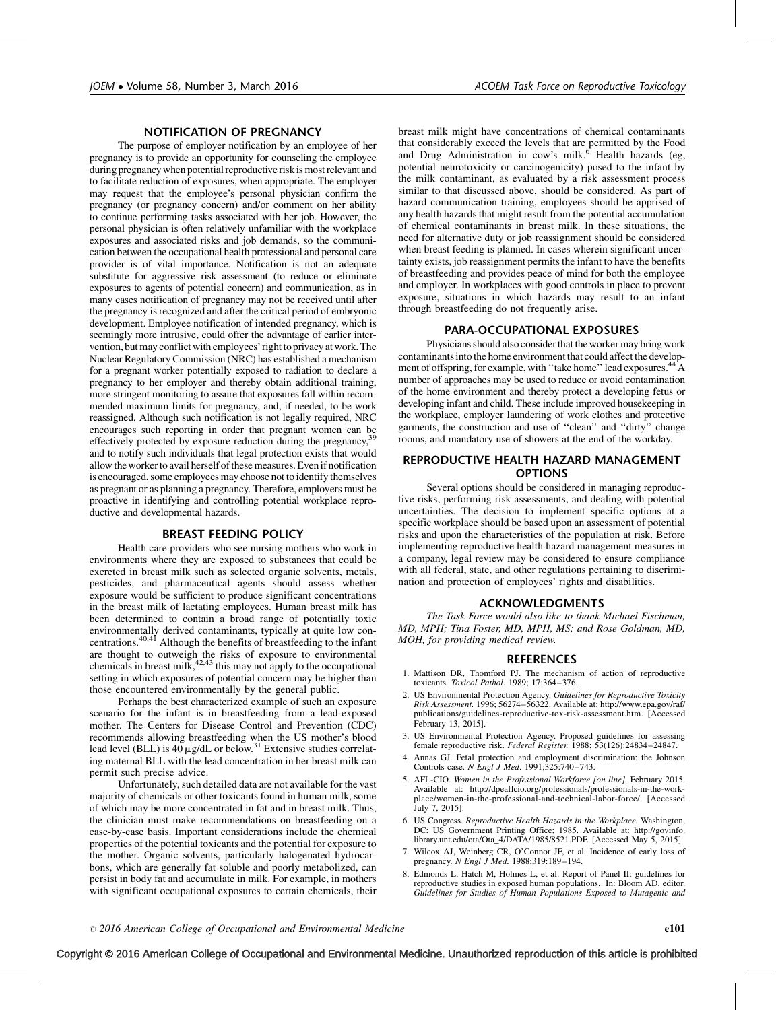### NOTIFICATION OF PREGNANCY

<span id="page-7-0"></span>The purpose of employer notification by an employee of her pregnancy is to provide an opportunity for counseling the employee during pregnancy when potential reproductive risk is most relevant and to facilitate reduction of exposures, when appropriate. The employer may request that the employee's personal physician confirm the pregnancy (or pregnancy concern) and/or comment on her ability to continue performing tasks associated with her job. However, the personal physician is often relatively unfamiliar with the workplace exposures and associated risks and job demands, so the communication between the occupational health professional and personal care provider is of vital importance. Notification is not an adequate substitute for aggressive risk assessment (to reduce or eliminate exposures to agents of potential concern) and communication, as in many cases notification of pregnancy may not be received until after the pregnancy is recognized and after the critical period of embryonic development. Employee notification of intended pregnancy, which is seemingly more intrusive, could offer the advantage of earlier intervention, but may conflict with employees' right to privacy at work. The Nuclear Regulatory Commission (NRC) has established a mechanism for a pregnant worker potentially exposed to radiation to declare a pregnancy to her employer and thereby obtain additional training, more stringent monitoring to assure that exposures fall within recommended maximum limits for pregnancy, and, if needed, to be work reassigned. Although such notification is not legally required, NRC encourages such reporting in order that pregnant women can be effectively protected by exposure reduction during the pregnancy[,39](#page-8-0) and to notify such individuals that legal protection exists that would allow the workerto avail herself of these measures. Even if notification is encouraged, some employees may choose not to identify themselves as pregnant or as planning a pregnancy. Therefore, employers must be proactive in identifying and controlling potential workplace reproductive and developmental hazards.

# BREAST FEEDING POLICY

Health care providers who see nursing mothers who work in environments where they are exposed to substances that could be excreted in breast milk such as selected organic solvents, metals, pesticides, and pharmaceutical agents should assess whether exposure would be sufficient to produce significant concentrations in the breast milk of lactating employees. Human breast milk has been determined to contain a broad range of potentially toxic environmentally derived contaminants, typically at quite low con-<br>centrations.<sup>[40,41](#page-8-0)</sup> Although the benefits of breastfeeding to the infant are thought to outweigh the risks of exposure to environmental chemicals in breast milk,  $42.43$  this may not apply to the occupational setting in which exposures of potential concern may be higher than those encountered environmentally by the general public.

Perhaps the best characterized example of such an exposure scenario for the infant is in breastfeeding from a lead-exposed mother. The Centers for Disease Control and Prevention (CDC) recommends allowing breastfeeding when the US mother's blood lead level (BLL) is  $40 \mu g/dL$  or below.<sup>31</sup> Extensive studies correlating maternal BLL with the lead concentration in her breast milk can permit such precise advice.

Unfortunately, such detailed data are not available for the vast majority of chemicals or other toxicants found in human milk, some of which may be more concentrated in fat and in breast milk. Thus, the clinician must make recommendations on breastfeeding on a case-by-case basis. Important considerations include the chemical properties of the potential toxicants and the potential for exposure to the mother. Organic solvents, particularly halogenated hydrocarbons, which are generally fat soluble and poorly metabolized, can persist in body fat and accumulate in milk. For example, in mothers with significant occupational exposures to certain chemicals, their

breast milk might have concentrations of chemical contaminants that considerably exceed the levels that are permitted by the Food and Drug Administration in cow's milk. $6$  Health hazards (eg, potential neurotoxicity or carcinogenicity) posed to the infant by the milk contaminant, as evaluated by a risk assessment process similar to that discussed above, should be considered. As part of hazard communication training, employees should be apprised of any health hazards that might result from the potential accumulation of chemical contaminants in breast milk. In these situations, the need for alternative duty or job reassignment should be considered when breast feeding is planned. In cases wherein significant uncertainty exists, job reassignment permits the infant to have the benefits of breastfeeding and provides peace of mind for both the employee and employer. In workplaces with good controls in place to prevent exposure, situations in which hazards may result to an infant through breastfeeding do not frequently arise.

#### PARA-OCCUPATIONAL EXPOSURES

Physicians should also consider that the worker may bring work contaminants into the home environment that could affect the development of offspring, for example, with "take home" lead exposures.<sup>44</sup> A number of approaches may be used to reduce or avoid contamination of the home environment and thereby protect a developing fetus or developing infant and child. These include improved housekeeping in the workplace, employer laundering of work clothes and protective garments, the construction and use of ''clean'' and ''dirty'' change rooms, and mandatory use of showers at the end of the workday.

### REPRODUCTIVE HEALTH HAZARD MANAGEMENT **OPTIONS**

Several options should be considered in managing reproductive risks, performing risk assessments, and dealing with potential uncertainties. The decision to implement specific options at a specific workplace should be based upon an assessment of potential risks and upon the characteristics of the population at risk. Before implementing reproductive health hazard management measures in a company, legal review may be considered to ensure compliance with all federal, state, and other regulations pertaining to discrimination and protection of employees' rights and disabilities.

### ACKNOWLEDGMENTS

The Task Force would also like to thank Michael Fischman, MD, MPH; Tina Foster, MD, MPH, MS; and Rose Goldman, MD, MOH, for providing medical review.

#### REFERENCES

- 1. Mattison DR, Thomford PJ. The mechanism of action of reproductive toxicants. Toxicol Pathol. 1989; 17:364–376.
- 2. US Environmental Protection Agency. Guidelines for Reproductive Toxicity Risk Assessment. 1996; 56274–56322. Available at: [http://www.epa.gov/raf/](http://www.epa.gov/raf/publications/guidelines-reproductive-tox-risk-assessment.htm) [publications/guidelines-reproductive-tox-risk-assessment.htm. \[Accessed](http://www.epa.gov/raf/publications/guidelines-reproductive-tox-risk-assessment.htm) [February 13, 2015\].](http://www.epa.gov/raf/publications/guidelines-reproductive-tox-risk-assessment.htm)
- 3. US Environmental Protection Agency. Proposed guidelines for assessing female reproductive risk. Federal Register. 1988; 53(126):24834–24847.
- 4. Annas GJ. Fetal protection and employment discrimination: the Johnson Controls case. N Engl J Med. 1991;325:740-743.
- 5. AFL-CIO. Women in the Professional Workforce [on line]. February 2015. Available at: [http://dpeaflcio.org/professionals/professionals-in-the-work](http://dpeaflcio.org/professionals/professionals-in-the-workplace/women-in-the-professional-and-technical-labor-force/)[place/women-in-the-professional-and-technical-labor-force/. \[Accessed](http://dpeaflcio.org/professionals/professionals-in-the-workplace/women-in-the-professional-and-technical-labor-force/) [July 7, 2015\].](http://dpeaflcio.org/professionals/professionals-in-the-workplace/women-in-the-professional-and-technical-labor-force/)
- 6. US Congress. Reproductive Health Hazards in the Workplace. Washington, DC: US Government Printing Office; 1985. Available at: [http://govinfo.](http://govinfo.library.unt.edu/ota/Ota_4/DATA/1985/8521.PDF) [library.unt.edu/ota/Ota\\_4/DATA/1985/8521.PDF. \[Accessed May 5, 2015\].](http://govinfo.library.unt.edu/ota/Ota_4/DATA/1985/8521.PDF)
- 7. Wilcox AJ, Weinberg CR, O'Connor JF, et al. Incidence of early loss of pregnancy. N Engl J Med. 1988;319:189-194.
- 8. Edmonds L, Hatch M, Holmes L, et al. Report of Panel II: guidelines for reproductive studies in exposed human populations. In: Bloom AD, editor. Guidelines for Studies of Human Populations Exposed to Mutagenic and

# Copyright © 2016 American College of Occupational and Environmental Medicine. Unauthorized reproduction of this article is prohibited